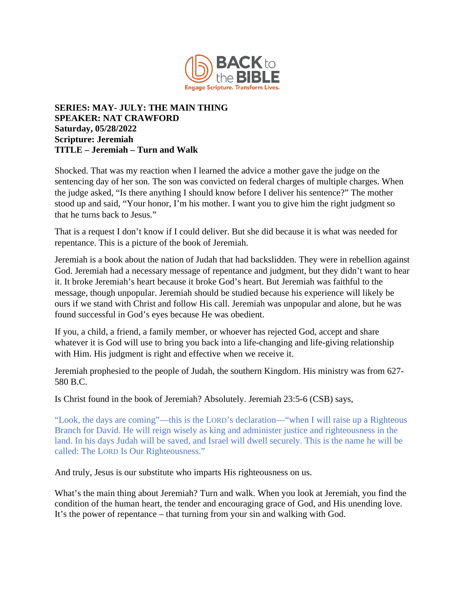

## **SERIES: MAY- JULY: THE MAIN THING SPEAKER: NAT CRAWFORD Saturday, 05/28/2022 Scripture: Jeremiah TITLE – Jeremiah – Turn and Walk**

Shocked. That was my reaction when I learned the advice a mother gave the judge on the sentencing day of her son. The son was convicted on federal charges of multiple charges. When the judge asked, "Is there anything I should know before I deliver his sentence?" The mother stood up and said, "Your honor, I'm his mother. I want you to give him the right judgment so that he turns back to Jesus."

That is a request I don't know if I could deliver. But she did because it is what was needed for repentance. This is a picture of the book of Jeremiah.

Jeremiah is a book about the nation of Judah that had backslidden. They were in rebellion against God. Jeremiah had a necessary message of repentance and judgment, but they didn't want to hear it. It broke Jeremiah's heart because it broke God's heart. But Jeremiah was faithful to the message, though unpopular. Jeremiah should be studied because his experience will likely be ours if we stand with Christ and follow His call. Jeremiah was unpopular and alone, but he was found successful in God's eyes because He was obedient.

If you, a child, a friend, a family member, or whoever has rejected God, accept and share whatever it is God will use to bring you back into a life-changing and life-giving relationship with Him. His judgment is right and effective when we receive it.

Jeremiah prophesied to the people of Judah, the southern Kingdom. His ministry was from 627- 580 B.C.

Is Christ found in the book of Jeremiah? Absolutely. Jeremiah 23:5-6 (CSB) says,

"Look, the days are coming"—this is the LORD's declaration—"when I will raise up a Righteous Branch for David. He will reign wisely as king and administer justice and righteousness in the land. In his days Judah will be saved, and Israel will dwell securely. This is the name he will be called: The LORD Is Our Righteousness."

And truly, Jesus is our substitute who imparts His righteousness on us.

What's the main thing about Jeremiah? Turn and walk. When you look at Jeremiah, you find the condition of the human heart, the tender and encouraging grace of God, and His unending love. It's the power of repentance – that turning from your sin and walking with God.